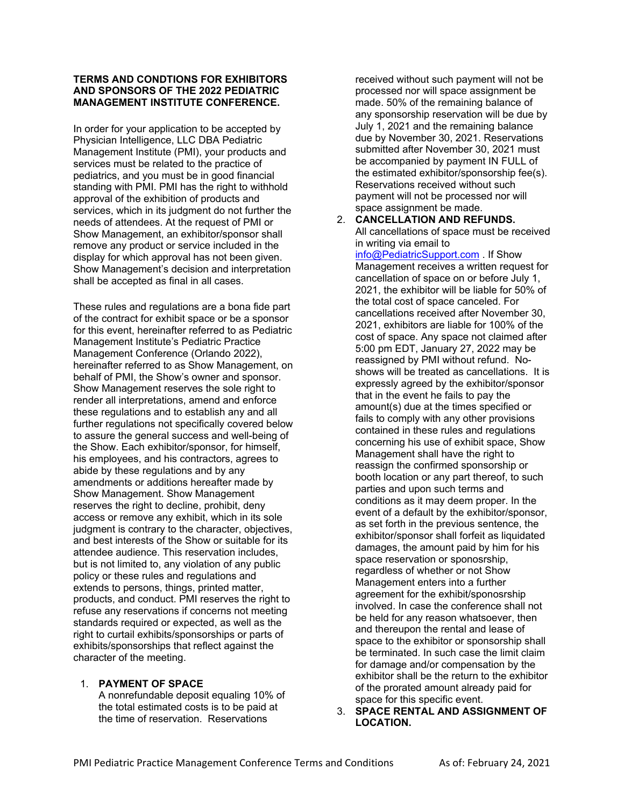### **TERMS AND CONDTIONS FOR EXHIBITORS AND SPONSORS OF THE 2022 PEDIATRIC MANAGEMENT INSTITUTE CONFERENCE.**

In order for your application to be accepted by Physician Intelligence, LLC DBA Pediatric Management Institute (PMI), your products and services must be related to the practice of pediatrics, and you must be in good financial standing with PMI. PMI has the right to withhold approval of the exhibition of products and services, which in its judgment do not further the needs of attendees. At the request of PMI or Show Management, an exhibitor/sponsor shall remove any product or service included in the display for which approval has not been given. Show Management's decision and interpretation shall be accepted as final in all cases.

These rules and regulations are a bona fide part of the contract for exhibit space or be a sponsor for this event, hereinafter referred to as Pediatric Management Institute's Pediatric Practice Management Conference (Orlando 2022), hereinafter referred to as Show Management, on behalf of PMI, the Show's owner and sponsor. Show Management reserves the sole right to render all interpretations, amend and enforce these regulations and to establish any and all further regulations not specifically covered below to assure the general success and well-being of the Show. Each exhibitor/sponsor, for himself, his employees, and his contractors, agrees to abide by these regulations and by any amendments or additions hereafter made by Show Management. Show Management reserves the right to decline, prohibit, deny access or remove any exhibit, which in its sole judgment is contrary to the character, objectives, and best interests of the Show or suitable for its attendee audience. This reservation includes, but is not limited to, any violation of any public policy or these rules and regulations and extends to persons, things, printed matter, products, and conduct. PMI reserves the right to refuse any reservations if concerns not meeting standards required or expected, as well as the right to curtail exhibits/sponsorships or parts of exhibits/sponsorships that reflect against the character of the meeting.

### 1. **PAYMENT OF SPACE**

A nonrefundable deposit equaling 10% of the total estimated costs is to be paid at the time of reservation. Reservations

received without such payment will not be processed nor will space assignment be made. 50% of the remaining balance of any sponsorship reservation will be due by July 1, 2021 and the remaining balance due by November 30, 2021. Reservations submitted after November 30, 2021 must be accompanied by payment IN FULL of the estimated exhibitor/sponsorship fee(s). Reservations received without such payment will not be processed nor will space assignment be made.

# 2. **CANCELLATION AND REFUNDS.**

All cancellations of space must be received in writing via email to info@PediatricSupport.com . If Show Management receives a written request for cancellation of space on or before July 1, 2021, the exhibitor will be liable for 50% of the total cost of space canceled. For cancellations received after November 30, 2021, exhibitors are liable for 100% of the cost of space. Any space not claimed after 5:00 pm EDT, January 27, 2022 may be reassigned by PMI without refund. Noshows will be treated as cancellations. It is expressly agreed by the exhibitor/sponsor that in the event he fails to pay the amount(s) due at the times specified or fails to comply with any other provisions contained in these rules and regulations concerning his use of exhibit space, Show Management shall have the right to reassign the confirmed sponsorship or booth location or any part thereof, to such parties and upon such terms and conditions as it may deem proper. In the event of a default by the exhibitor/sponsor, as set forth in the previous sentence, the exhibitor/sponsor shall forfeit as liquidated damages, the amount paid by him for his space reservation or sponosrship, regardless of whether or not Show Management enters into a further agreement for the exhibit/sponosrship involved. In case the conference shall not be held for any reason whatsoever, then and thereupon the rental and lease of space to the exhibitor or sponsorship shall be terminated. In such case the limit claim for damage and/or compensation by the exhibitor shall be the return to the exhibitor of the prorated amount already paid for space for this specific event.

3. **SPACE RENTAL AND ASSIGNMENT OF LOCATION.**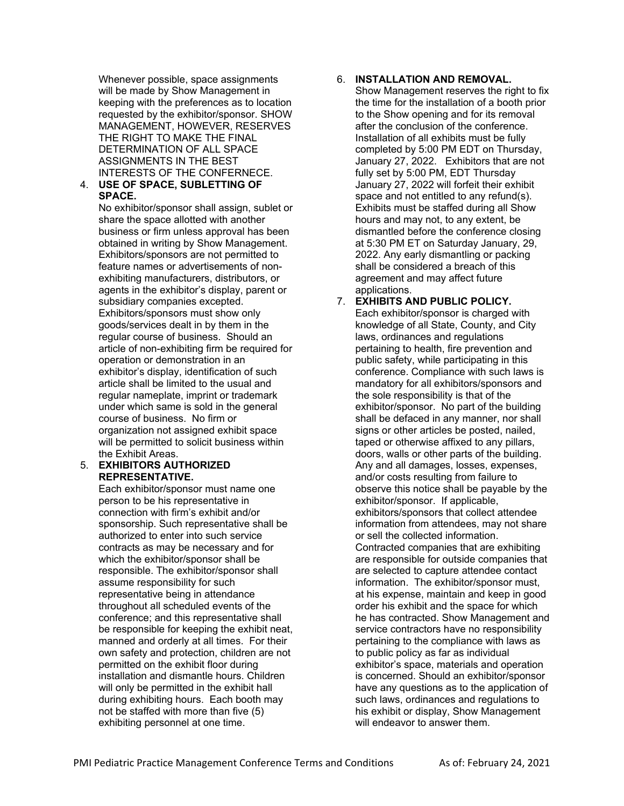Whenever possible, space assignments will be made by Show Management in keeping with the preferences as to location requested by the exhibitor/sponsor. SHOW MANAGEMENT, HOWEVER, RESERVES THE RIGHT TO MAKE THE FINAL DETERMINATION OF ALL SPACE ASSIGNMENTS IN THE BEST INTERESTS OF THE CONFERNECE.

### 4. **USE OF SPACE, SUBLETTING OF SPACE.**

No exhibitor/sponsor shall assign, sublet or share the space allotted with another business or firm unless approval has been obtained in writing by Show Management. Exhibitors/sponsors are not permitted to feature names or advertisements of nonexhibiting manufacturers, distributors, or agents in the exhibitor's display, parent or subsidiary companies excepted. Exhibitors/sponsors must show only goods/services dealt in by them in the regular course of business. Should an article of non-exhibiting firm be required for operation or demonstration in an exhibitor's display, identification of such article shall be limited to the usual and regular nameplate, imprint or trademark under which same is sold in the general course of business. No firm or organization not assigned exhibit space will be permitted to solicit business within the Exhibit Areas.

#### 5. **EXHIBITORS AUTHORIZED REPRESENTATIVE.**

Each exhibitor/sponsor must name one person to be his representative in connection with firm's exhibit and/or sponsorship. Such representative shall be authorized to enter into such service contracts as may be necessary and for which the exhibitor/sponsor shall be responsible. The exhibitor/sponsor shall assume responsibility for such representative being in attendance throughout all scheduled events of the conference; and this representative shall be responsible for keeping the exhibit neat, manned and orderly at all times. For their own safety and protection, children are not permitted on the exhibit floor during installation and dismantle hours. Children will only be permitted in the exhibit hall during exhibiting hours. Each booth may not be staffed with more than five (5) exhibiting personnel at one time.

# 6. **INSTALLATION AND REMOVAL.**

Show Management reserves the right to fix the time for the installation of a booth prior to the Show opening and for its removal after the conclusion of the conference. Installation of all exhibits must be fully completed by 5:00 PM EDT on Thursday, January 27, 2022. Exhibitors that are not fully set by 5:00 PM, EDT Thursday January 27, 2022 will forfeit their exhibit space and not entitled to any refund(s). Exhibits must be staffed during all Show hours and may not, to any extent, be dismantled before the conference closing at 5:30 PM ET on Saturday January, 29, 2022. Any early dismantling or packing shall be considered a breach of this agreement and may affect future applications.

### 7. **EXHIBITS AND PUBLIC POLICY.**  Each exhibitor/sponsor is charged with knowledge of all State, County, and City laws, ordinances and regulations pertaining to health, fire prevention and public safety, while participating in this conference. Compliance with such laws is mandatory for all exhibitors/sponsors and the sole responsibility is that of the exhibitor/sponsor. No part of the building shall be defaced in any manner, nor shall signs or other articles be posted, nailed, taped or otherwise affixed to any pillars, doors, walls or other parts of the building. Any and all damages, losses, expenses, and/or costs resulting from failure to observe this notice shall be payable by the exhibitor/sponsor. If applicable, exhibitors/sponsors that collect attendee information from attendees, may not share or sell the collected information. Contracted companies that are exhibiting are responsible for outside companies that are selected to capture attendee contact information. The exhibitor/sponsor must, at his expense, maintain and keep in good order his exhibit and the space for which he has contracted. Show Management and service contractors have no responsibility pertaining to the compliance with laws as to public policy as far as individual exhibitor's space, materials and operation is concerned. Should an exhibitor/sponsor have any questions as to the application of such laws, ordinances and regulations to his exhibit or display, Show Management will endeavor to answer them.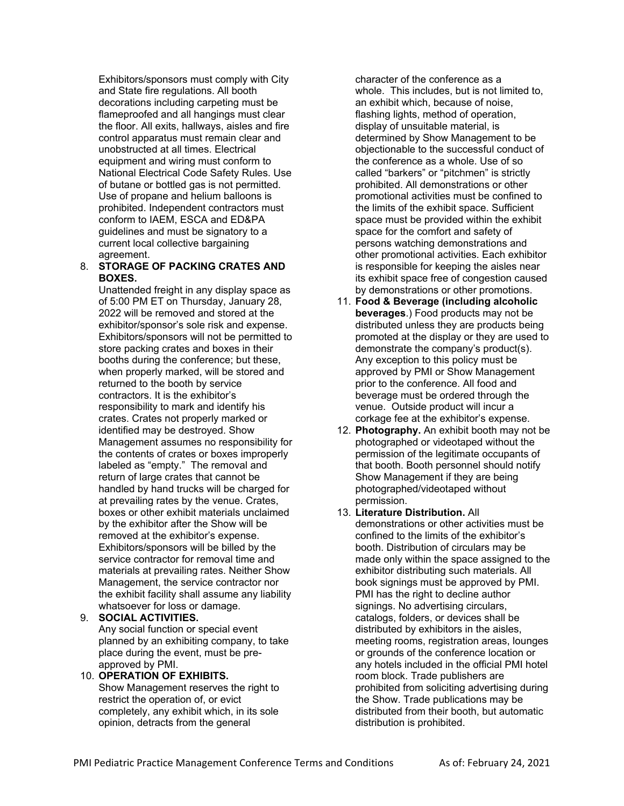Exhibitors/sponsors must comply with City and State fire regulations. All booth decorations including carpeting must be flameproofed and all hangings must clear the floor. All exits, hallways, aisles and fire control apparatus must remain clear and unobstructed at all times. Electrical equipment and wiring must conform to National Electrical Code Safety Rules. Use of butane or bottled gas is not permitted. Use of propane and helium balloons is prohibited. Independent contractors must conform to IAEM, ESCA and ED&PA guidelines and must be signatory to a current local collective bargaining agreement.

### 8. **STORAGE OF PACKING CRATES AND BOXES.**

Unattended freight in any display space as of 5:00 PM ET on Thursday, January 28, 2022 will be removed and stored at the exhibitor/sponsor's sole risk and expense. Exhibitors/sponsors will not be permitted to store packing crates and boxes in their booths during the conference; but these, when properly marked, will be stored and returned to the booth by service contractors. It is the exhibitor's responsibility to mark and identify his crates. Crates not properly marked or identified may be destroyed. Show Management assumes no responsibility for the contents of crates or boxes improperly labeled as "empty." The removal and return of large crates that cannot be handled by hand trucks will be charged for at prevailing rates by the venue. Crates, boxes or other exhibit materials unclaimed by the exhibitor after the Show will be removed at the exhibitor's expense. Exhibitors/sponsors will be billed by the service contractor for removal time and materials at prevailing rates. Neither Show Management, the service contractor nor the exhibit facility shall assume any liability whatsoever for loss or damage.

- 9. **SOCIAL ACTIVITIES.**  Any social function or special event planned by an exhibiting company, to take place during the event, must be preapproved by PMI.
- 10. **OPERATION OF EXHIBITS.**  Show Management reserves the right to restrict the operation of, or evict completely, any exhibit which, in its sole opinion, detracts from the general

character of the conference as a whole. This includes, but is not limited to, an exhibit which, because of noise, flashing lights, method of operation, display of unsuitable material, is determined by Show Management to be objectionable to the successful conduct of the conference as a whole. Use of so called "barkers" or "pitchmen" is strictly prohibited. All demonstrations or other promotional activities must be confined to the limits of the exhibit space. Sufficient space must be provided within the exhibit space for the comfort and safety of persons watching demonstrations and other promotional activities. Each exhibitor is responsible for keeping the aisles near its exhibit space free of congestion caused by demonstrations or other promotions.

- 11. **Food & Beverage (including alcoholic beverages**.) Food products may not be distributed unless they are products being promoted at the display or they are used to demonstrate the company's product(s). Any exception to this policy must be approved by PMI or Show Management prior to the conference. All food and beverage must be ordered through the venue. Outside product will incur a corkage fee at the exhibitor's expense.
- 12. **Photography.** An exhibit booth may not be photographed or videotaped without the permission of the legitimate occupants of that booth. Booth personnel should notify Show Management if they are being photographed/videotaped without permission.
- 13. **Literature Distribution.** All demonstrations or other activities must be confined to the limits of the exhibitor's booth. Distribution of circulars may be made only within the space assigned to the exhibitor distributing such materials. All book signings must be approved by PMI. PMI has the right to decline author signings. No advertising circulars, catalogs, folders, or devices shall be distributed by exhibitors in the aisles, meeting rooms, registration areas, lounges or grounds of the conference location or any hotels included in the official PMI hotel room block. Trade publishers are prohibited from soliciting advertising during the Show. Trade publications may be distributed from their booth, but automatic distribution is prohibited.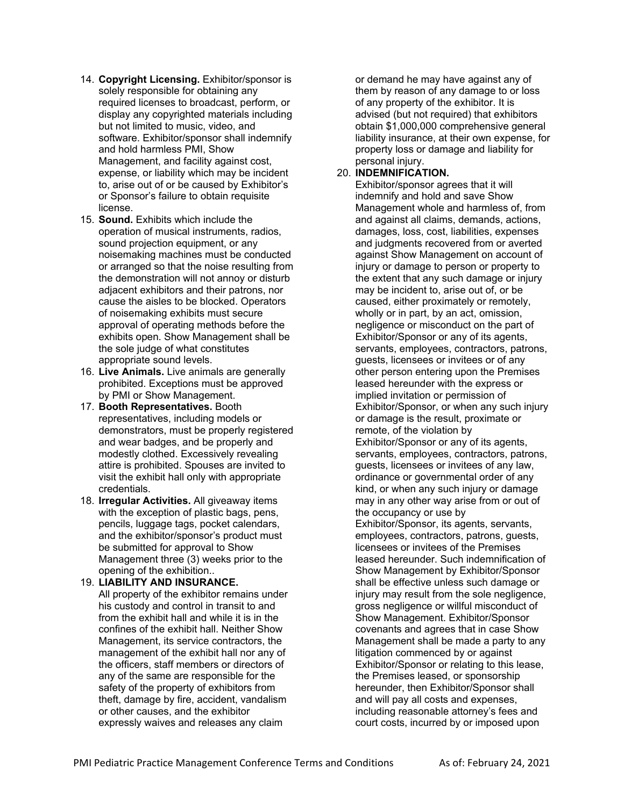- 14. **Copyright Licensing.** Exhibitor/sponsor is solely responsible for obtaining any required licenses to broadcast, perform, or display any copyrighted materials including but not limited to music, video, and software. Exhibitor/sponsor shall indemnify and hold harmless PMI, Show Management, and facility against cost, expense, or liability which may be incident to, arise out of or be caused by Exhibitor's or Sponsor's failure to obtain requisite license.
- 15. **Sound.** Exhibits which include the operation of musical instruments, radios, sound projection equipment, or any noisemaking machines must be conducted or arranged so that the noise resulting from the demonstration will not annoy or disturb adjacent exhibitors and their patrons, nor cause the aisles to be blocked. Operators of noisemaking exhibits must secure approval of operating methods before the exhibits open. Show Management shall be the sole judge of what constitutes appropriate sound levels.
- 16. **Live Animals.** Live animals are generally prohibited. Exceptions must be approved by PMI or Show Management.
- 17. **Booth Representatives.** Booth representatives, including models or demonstrators, must be properly registered and wear badges, and be properly and modestly clothed. Excessively revealing attire is prohibited. Spouses are invited to visit the exhibit hall only with appropriate credentials.
- 18. **Irregular Activities.** All giveaway items with the exception of plastic bags, pens. pencils, luggage tags, pocket calendars, and the exhibitor/sponsor's product must be submitted for approval to Show Management three (3) weeks prior to the opening of the exhibition..
- 19. **LIABILITY AND INSURANCE.**  All property of the exhibitor remains under his custody and control in transit to and from the exhibit hall and while it is in the confines of the exhibit hall. Neither Show Management, its service contractors, the management of the exhibit hall nor any of the officers, staff members or directors of any of the same are responsible for the safety of the property of exhibitors from theft, damage by fire, accident, vandalism or other causes, and the exhibitor expressly waives and releases any claim

or demand he may have against any of them by reason of any damage to or loss of any property of the exhibitor. It is advised (but not required) that exhibitors obtain \$1,000,000 comprehensive general liability insurance, at their own expense, for property loss or damage and liability for personal injury.

# 20. **INDEMNIFICATION.**

Exhibitor/sponsor agrees that it will indemnify and hold and save Show Management whole and harmless of, from and against all claims, demands, actions, damages, loss, cost, liabilities, expenses and judgments recovered from or averted against Show Management on account of injury or damage to person or property to the extent that any such damage or injury may be incident to, arise out of, or be caused, either proximately or remotely, wholly or in part, by an act, omission, negligence or misconduct on the part of Exhibitor/Sponsor or any of its agents, servants, employees, contractors, patrons, guests, licensees or invitees or of any other person entering upon the Premises leased hereunder with the express or implied invitation or permission of Exhibitor/Sponsor, or when any such injury or damage is the result, proximate or remote, of the violation by Exhibitor/Sponsor or any of its agents, servants, employees, contractors, patrons, guests, licensees or invitees of any law, ordinance or governmental order of any kind, or when any such injury or damage may in any other way arise from or out of the occupancy or use by Exhibitor/Sponsor, its agents, servants, employees, contractors, patrons, guests, licensees or invitees of the Premises leased hereunder. Such indemnification of Show Management by Exhibitor/Sponsor shall be effective unless such damage or injury may result from the sole negligence, gross negligence or willful misconduct of Show Management. Exhibitor/Sponsor covenants and agrees that in case Show Management shall be made a party to any litigation commenced by or against Exhibitor/Sponsor or relating to this lease, the Premises leased, or sponsorship hereunder, then Exhibitor/Sponsor shall and will pay all costs and expenses, including reasonable attorney's fees and court costs, incurred by or imposed upon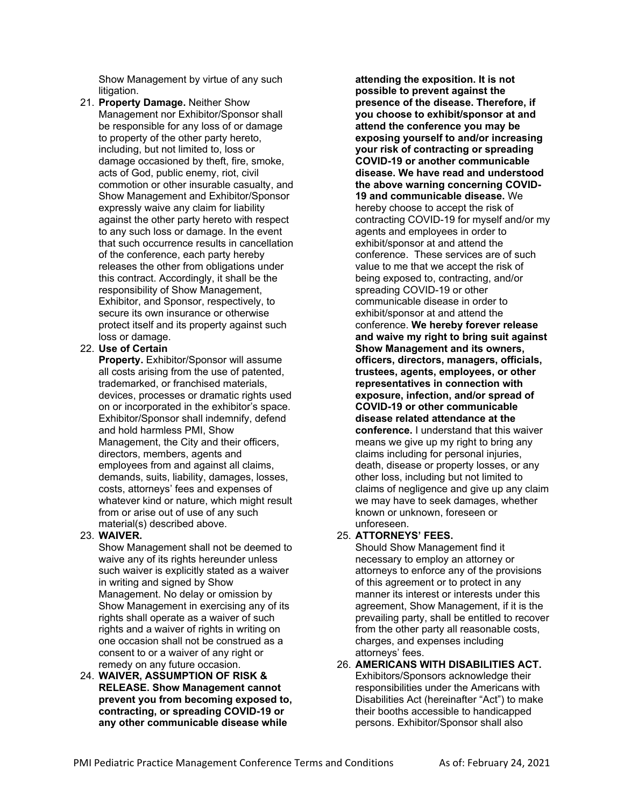Show Management by virtue of any such litigation.

21. **Property Damage.** Neither Show Management nor Exhibitor/Sponsor shall be responsible for any loss of or damage to property of the other party hereto, including, but not limited to, loss or damage occasioned by theft, fire, smoke, acts of God, public enemy, riot, civil commotion or other insurable casualty, and Show Management and Exhibitor/Sponsor expressly waive any claim for liability against the other party hereto with respect to any such loss or damage. In the event that such occurrence results in cancellation of the conference, each party hereby releases the other from obligations under this contract. Accordingly, it shall be the responsibility of Show Management, Exhibitor, and Sponsor, respectively, to secure its own insurance or otherwise protect itself and its property against such loss or damage.

# 22. **Use of Certain**

**Property.** Exhibitor/Sponsor will assume all costs arising from the use of patented, trademarked, or franchised materials, devices, processes or dramatic rights used on or incorporated in the exhibitor's space. Exhibitor/Sponsor shall indemnify, defend and hold harmless PMI, Show Management, the City and their officers, directors, members, agents and employees from and against all claims, demands, suits, liability, damages, losses, costs, attorneys' fees and expenses of whatever kind or nature, which might result from or arise out of use of any such material(s) described above.

# 23. **WAIVER.**

Show Management shall not be deemed to waive any of its rights hereunder unless such waiver is explicitly stated as a waiver in writing and signed by Show Management. No delay or omission by Show Management in exercising any of its rights shall operate as a waiver of such rights and a waiver of rights in writing on one occasion shall not be construed as a consent to or a waiver of any right or remedy on any future occasion.

24. **WAIVER, ASSUMPTION OF RISK & RELEASE. Show Management cannot prevent you from becoming exposed to, contracting, or spreading COVID-19 or any other communicable disease while** 

**attending the exposition. It is not possible to prevent against the presence of the disease. Therefore, if you choose to exhibit/sponsor at and attend the conference you may be exposing yourself to and/or increasing your risk of contracting or spreading COVID-19 or another communicable disease. We have read and understood the above warning concerning COVID-19 and communicable disease.** We hereby choose to accept the risk of contracting COVID-19 for myself and/or my agents and employees in order to exhibit/sponsor at and attend the conference. These services are of such value to me that we accept the risk of being exposed to, contracting, and/or spreading COVID-19 or other communicable disease in order to exhibit/sponsor at and attend the conference. **We hereby forever release and waive my right to bring suit against Show Management and its owners, officers, directors, managers, officials, trustees, agents, employees, or other representatives in connection with exposure, infection, and/or spread of COVID-19 or other communicable disease related attendance at the conference.** I understand that this waiver means we give up my right to bring any claims including for personal injuries, death, disease or property losses, or any other loss, including but not limited to claims of negligence and give up any claim we may have to seek damages, whether known or unknown, foreseen or unforeseen.

# 25. **ATTORNEYS' FEES.**

Should Show Management find it necessary to employ an attorney or attorneys to enforce any of the provisions of this agreement or to protect in any manner its interest or interests under this agreement, Show Management, if it is the prevailing party, shall be entitled to recover from the other party all reasonable costs, charges, and expenses including attorneys' fees.

26. **AMERICANS WITH DISABILITIES ACT.**  Exhibitors/Sponsors acknowledge their responsibilities under the Americans with Disabilities Act (hereinafter "Act") to make their booths accessible to handicapped persons. Exhibitor/Sponsor shall also